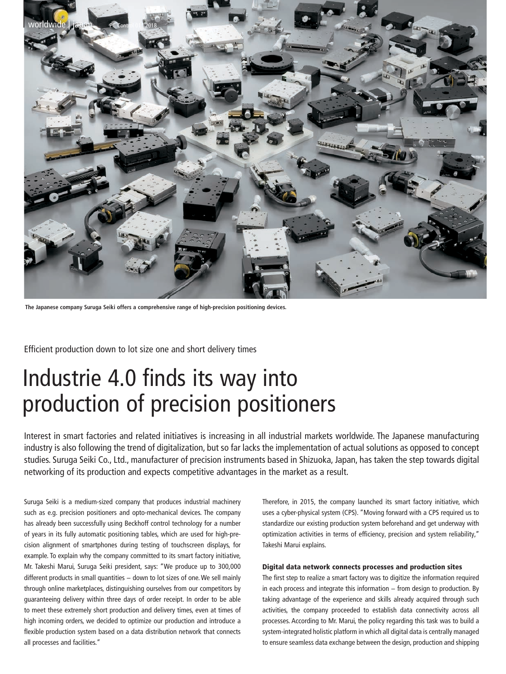

**The Japanese company Suruga Seiki offers a comprehensive range of high-precision positioning devices.**

Efficient production down to lot size one and short delivery times

# Industrie 4.0 finds its way into production of precision positioners

Interest in smart factories and related initiatives is increasing in all industrial markets worldwide. The Japanese manufacturing industry is also following the trend of digitalization, but so far lacks the implementation of actual solutions as opposed to concept studies. Suruga Seiki Co., Ltd., manufacturer of precision instruments based in Shizuoka, Japan, has taken the step towards digital networking of its production and expects competitive advantages in the market as a result.

Suruga Seiki is a medium-sized company that produces industrial machinery such as e.g. precision positioners and opto-mechanical devices. The company has already been successfully using Beckhoff control technology for a number of years in its fully automatic positioning tables, which are used for high-precision alignment of smartphones during testing of touchscreen displays, for example. To explain why the company committed to its smart factory initiative, Mr. Takeshi Marui, Suruga Seiki president, says: "We produce up to 300,000 different products in small quantities − down to lot sizes of one. We sell mainly through online marketplaces, distinguishing ourselves from our competitors by guaranteeing delivery within three days of order receipt. In order to be able to meet these extremely short production and delivery times, even at times of high incoming orders, we decided to optimize our production and introduce a flexible production system based on a data distribution network that connects all processes and facilities."

Therefore, in 2015, the company launched its smart factory initiative, which uses a cyber-physical system (CPS). "Moving forward with a CPS required us to standardize our existing production system beforehand and get underway with optimization activities in terms of efficiency, precision and system reliability," Takeshi Marui explains.

### Digital data network connects processes and production sites

The first step to realize a smart factory was to digitize the information required in each process and integrate this information − from design to production. By taking advantage of the experience and skills already acquired through such activities, the company proceeded to establish data connectivity across all processes. According to Mr. Marui, the policy regarding this task was to build a system-integrated holistic platform in which all digital data is centrally managed to ensure seamless data exchange between the design, production and shipping